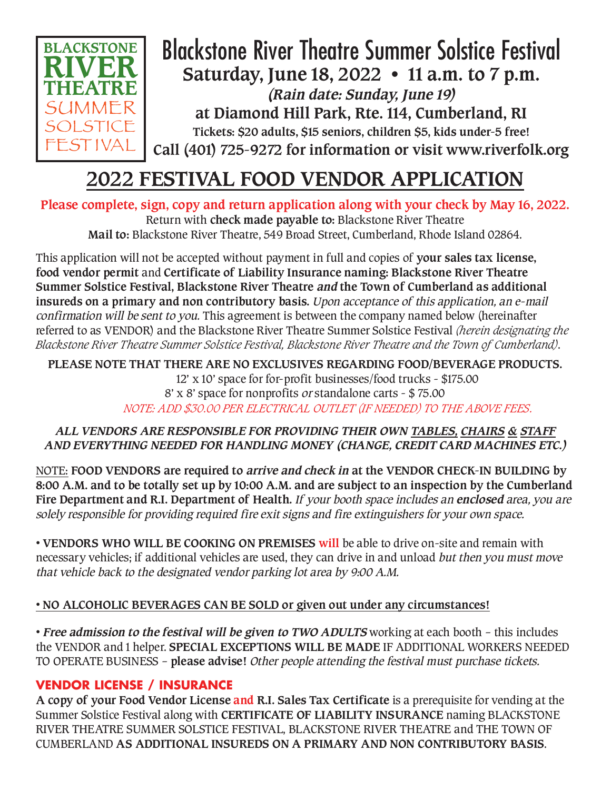

## Blackstone River Theatre Summer Solstice Festival **Saturday, June 18, 2022 • 11 a.m. to 7 p.m. (Rain date: Sunday, June 19) at Diamond Hill Park, Rte. 114, Cumberland, RI Tickets: \$20 adults, \$15 seniors, children \$5, kids under-5 free! Call (401) 725-9272 for information or visit www.riverfolk.org**

# **2022 FESTIVAL FOOD VENDOR APPLICATION**

**Please complete, sign, copy and return application along with your check by May 16, 2022.**  Return with **check made payable to:** Blackstone River Theatre **Mail to:** Blackstone River Theatre, 549 Broad Street, Cumberland, Rhode Island 02864.

This application will not be accepted without payment in full and copies of **your sales tax license, food vendor permit** and **Certificate of Liability Insurance naming: Blackstone River Theatre Summer Solstice Festival, Blackstone River Theatre and the Town of Cumberland as additional insureds on a primary and non contributory basis.** Upon acceptance of this application, an e-mail confirmation will be sent to you. This agreement is between the company named below (hereinafter referred to as VENDOR) and the Blackstone River Theatre Summer Solstice Festival *(herein designating the Blackstone River Theatre Summer Solstice Festival, Blackstone River Theatre and the Town of Cumberland)*.

**PLEASE NOTE THAT THERE ARE NO EXCLUSIVES REGARDING FOOD/BEVERAGE PRODUCTS.**  12' x 10' space for for-profit businesses/food trucks - \$175.00 8' x 8' space for nonprofits or standalone carts - \$ 75.00 *NOTE: ADD \$30.00 PER ELECTRICAL OUTLET (IF NEEDED) TO THE ABOVE FEES.*

### **ALL VENDORS ARE RESPONSIBLE FOR PROVIDING THEIR OWN TABLES, CHAIRS & STAFF AND EVERYTHING NEEDED FOR HANDLING MONEY (CHANGE, CREDIT CARD MACHINES ETC.)**

NOTE: **FOOD VENDORS are required to arrive and check in at the VENDOR CHECK-IN BUILDING by 8:00 A.M. and to be totally set up by 10:00 A.M. and are subject to an inspection by the Cumberland Fire Department and R.I. Department of Health.** If your booth space includes an **enclosed** area, you are solely responsible for providing required fire exit signs and fire extinguishers for your own space.

• **VENDORS WHO WILL BE COOKING ON PREMISES will** be able to drive on-site and remain with necessary vehicles; if additional vehicles are used, they can drive in and unload but then you must move that vehicle back to the designated vendor parking lot area by 9:00 A.M.

## • **NO ALCOHOLIC BEVERAGES CAN BE SOLD or given out under any circumstances!**

• **Free admission to the festival will be given to TWO ADULTS** working at each booth – this includes the VENDOR and 1 helper. **SPECIAL EXCEPTIONS WILL BE MADE** IF ADDITIONAL WORKERS NEEDED TO OPERATE BUSINESS – **please advise!** Other people attending the festival must purchase tickets.

## **VENDOR LICENSE / INSURANCE**

**A copy of your Food Vendor License and R.I. Sales Tax Certificate** is a prerequisite for vending at the Summer Solstice Festival along with **CERTIFICATE OF LIABILITY INSURANCE** naming BLACKSTONE RIVER THEATRE SUMMER SOLSTICE FESTIVAL, BLACKSTONE RIVER THEATRE and THE TOWN OF CUMBERLAND **AS ADDITIONAL INSUREDS ON A PRIMARY AND NON CONTRIBUTORY BASIS**.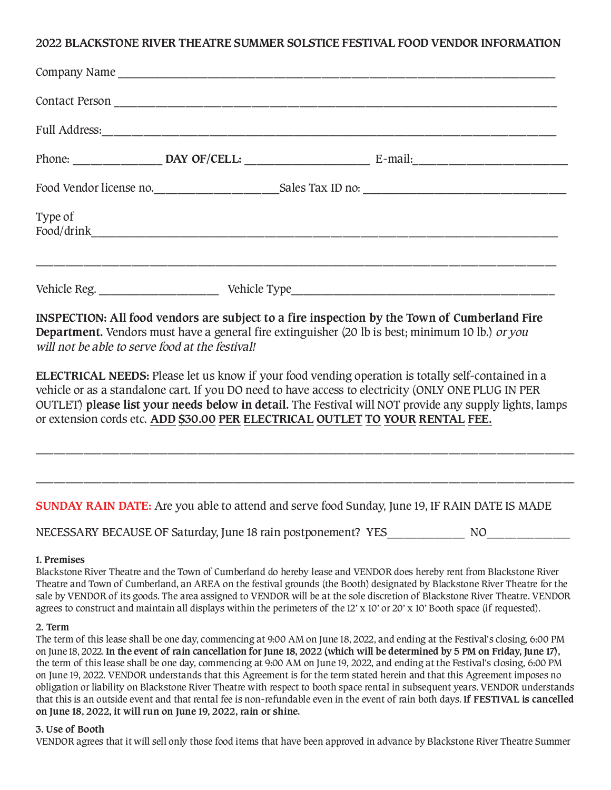#### **2022 BLACKSTONE RIVER THEATRE SUMMER SOLSTICE FESTIVAL FOOD VENDOR INFORMATION**

| Type of |                                                                                              |  |
|---------|----------------------------------------------------------------------------------------------|--|
|         |                                                                                              |  |
|         | INSPECTION: All food vendors are subject to a fire inspection by the Town of Cumberland Fire |  |

**Department.** Vendors must have a general fire extinguisher (20 lb is best; minimum 10 lb.) or you will not be able to serve food at the festival!

**ELECTRICAL NEEDS:** Please let us know if your food vending operation is totally self-contained in a vehicle or as a standalone cart. If you DO need to have access to electricity (ONLY ONE PLUG IN PER OUTLET) **please list your needs below in detail.** The Festival will NOT provide any supply lights, lamps or extension cords etc. **ADD \$30.00 PER ELECTRICAL OUTLET TO YOUR RENTAL FEE.**

\_\_\_\_\_\_\_\_\_\_\_\_\_\_\_\_\_\_\_\_\_\_\_\_\_\_\_\_\_\_\_\_\_\_\_\_\_\_\_\_\_\_\_\_\_\_\_\_\_\_\_\_\_\_\_\_\_\_\_\_\_\_\_\_\_\_\_\_\_\_\_\_\_\_\_\_\_\_\_\_\_\_\_\_\_\_\_\_\_\_

\_\_\_\_\_\_\_\_\_\_\_\_\_\_\_\_\_\_\_\_\_\_\_\_\_\_\_\_\_\_\_\_\_\_\_\_\_\_\_\_\_\_\_\_\_\_\_\_\_\_\_\_\_\_\_\_\_\_\_\_\_\_\_\_\_\_\_\_\_\_\_\_\_\_\_\_\_\_\_\_\_\_\_\_\_\_\_\_\_\_

#### **SUNDAY RAIN DATE:** Are you able to attend and serve food Sunday, June 19, IF RAIN DATE IS MADE

NECESSARY BECAUSE OF Saturday, June 18 rain postponement? YES NO

#### **1. Premises**

Blackstone River Theatre and the Town of Cumberland do hereby lease and VENDOR does hereby rent from Blackstone River Theatre and Town of Cumberland, an AREA on the festival grounds (the Booth) designated by Blackstone River Theatre for the sale by VENDOR of its goods. The area assigned to VENDOR will be at the sole discretion of Blackstone River Theatre. VENDOR agrees to construct and maintain all displays within the perimeters of the 12' x 10' or 20' x 10' Booth space (if requested).

#### **2. Term**

The term of this lease shall be one day, commencing at 9:00 AM on June 18, 2022, and ending at the Festival's closing, 6:00 PM on June 18, 2022. **In the event of rain cancellation for June 18, 2022 (which will be determined by 5 PM on Friday, June 17),** the term of this lease shall be one day, commencing at 9:00 AM on June 19, 2022, and ending at the Festival's closing, 6:00 PM on June 19, 2022. VENDOR understands that this Agreement is for the term stated herein and that this Agreement imposes no obligation or liability on Blackstone River Theatre with respect to booth space rental in subsequent years. VENDOR understands that this is an outside event and that rental fee is non-refundable even in the event of rain both days. **If FESTIVAL is cancelled on June 18, 2022, it will run on June 19, 2022, rain or shine.** 

#### **3. Use of Booth**

VENDOR agrees that it will sell only those food items that have been approved in advance by Blackstone River Theatre Summer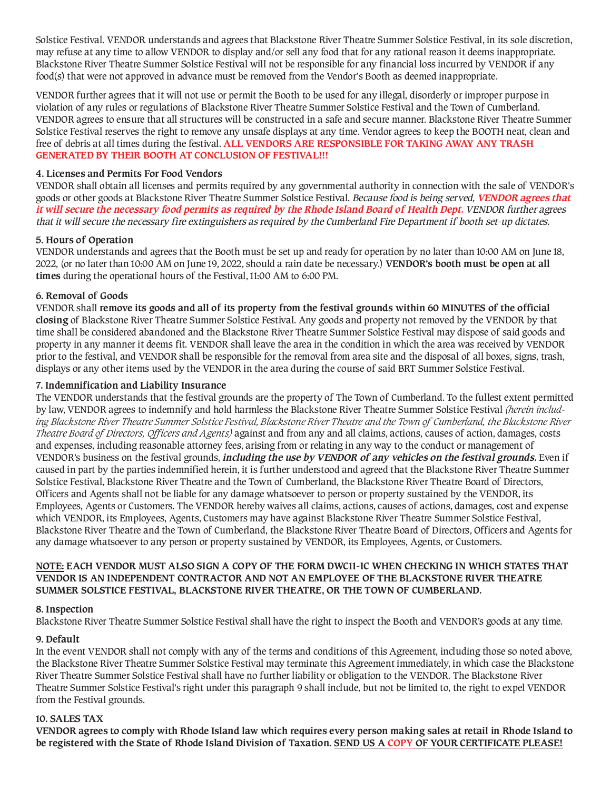Solstice Festival. VENDOR understands and agrees that Blackstone River Theatre Summer Solstice Festival, in its sole discretion, may refuse at any time to allow VENDOR to display and/or sell any food that for any rational reason it deems inappropriate. Blackstone River Theatre Summer Solstice Festival will not be responsible for any financial loss incurred by VENDOR if any food(s) that were not approved in advance must be removed from the Vendor's Booth as deemed inappropriate.

VENDOR further agrees that it will not use or permit the Booth to be used for any illegal, disorderly or improper purpose in violation of any rules or regulations of Blackstone River Theatre Summer Solstice Festival and the Town of Cumberland. VENDOR agrees to ensure that all structures will be constructed in a safe and secure manner. Blackstone River Theatre Summer Solstice Festival reserves the right to remove any unsafe displays at any time. Vendor agrees to keep the BOOTH neat, clean and free of debris at all times during the festival. **ALL VENDORS ARE RESPONSIBLE FOR TAKING AWAY ANY TRASH GENERATED BY THEIR BOOTH AT CONCLUSION OF FESTIVAL!!!**

#### **4. Licenses and Permits For Food Vendors**

VENDOR shall obtain all licenses and permits required by any governmental authority in connection with the sale of VENDOR's goods or other goods at Blackstone River Theatre Summer Solstice Festival. Because food is being served, **VENDOR agrees that it will secure the necessary food permits as required by the Rhode Island Board of Health Dept.** VENDOR further agrees that it will secure the necessary fire extinguishers as required by the Cumberland Fire Department if booth set-up dictates.

#### **5. Hours of Operation**

VENDOR understands and agrees that the Booth must be set up and ready for operation by no later than 10:00 AM on June 18, 2022, (or no later than 10:00 AM on June 19, 2022, should a rain date be necessary.) **VENDOR's booth must be open at all times** during the operational hours of the Festival, 11:00 AM to 6:00 PM.

#### **6. Removal of Goods**

VENDOR shall **remove its goods and all of its property from the festival grounds within 60 MINUTES of the official closing** of Blackstone River Theatre Summer Solstice Festival. Any goods and property not removed by the VENDOR by that time shall be considered abandoned and the Blackstone River Theatre Summer Solstice Festival may dispose of said goods and property in any manner it deems fit. VENDOR shall leave the area in the condition in which the area was received by VENDOR prior to the festival, and VENDOR shall be responsible for the removal from area site and the disposal of all boxes, signs, trash, displays or any other items used by the VENDOR in the area during the course of said BRT Summer Solstice Festival.

#### **7. Indemnification and Liability Insurance**

The VENDOR understands that the festival grounds are the property of The Town of Cumberland. To the fullest extent permitted by law, VENDOR agrees to indemnify and hold harmless the Blackstone River Theatre Summer Solstice Festival *(herein including Blackstone River Theatre Summer Solstice Festival, Blackstone River Theatre and the Town of Cumberland, the Blackstone River Theatre Board of Directors, Officers and Agents)* against and from any and all claims, actions, causes of action, damages, costs and expenses, including reasonable attorney fees, arising from or relating in any way to the conduct or management of VENDOR's business on the festival grounds, **including the use by VENDOR of any vehicles on the festival grounds.** Even if caused in part by the parties indemnified herein, it is further understood and agreed that the Blackstone River Theatre Summer Solstice Festival, Blackstone River Theatre and the Town of Cumberland, the Blackstone River Theatre Board of Directors, Officers and Agents shall not be liable for any damage whatsoever to person or property sustained by the VENDOR, its Employees, Agents or Customers. The VENDOR hereby waives all claims, actions, causes of actions, damages, cost and expense which VENDOR, its Employees, Agents, Customers may have against Blackstone River Theatre Summer Solstice Festival, Blackstone River Theatre and the Town of Cumberland, the Blackstone River Theatre Board of Directors, Officers and Agents for any damage whatsoever to any person or property sustained by VENDOR, its Employees, Agents, or Customers.

#### **NOTE: EACH VENDOR MUST ALSO SIGN A COPY OF THE FORM DWC11-IC WHEN CHECKING IN WHICH STATES THAT VENDOR IS AN INDEPENDENT CONTRACTOR AND NOT AN EMPLOYEE OF THE BLACKSTONE RIVER THEATRE SUMMER SOLSTICE FESTIVAL, BLACKSTONE RIVER THEATRE, OR THE TOWN OF CUMBERLAND.**

#### **8. Inspection**

Blackstone River Theatre Summer Solstice Festival shall have the right to inspect the Booth and VENDOR's goods at any time.

#### **9. Default**

In the event VENDOR shall not comply with any of the terms and conditions of this Agreement, including those so noted above, the Blackstone River Theatre Summer Solstice Festival may terminate this Agreement immediately, in which case the Blackstone River Theatre Summer Solstice Festival shall have no further liability or obligation to the VENDOR. The Blackstone River Theatre Summer Solstice Festival's right under this paragraph 9 shall include, but not be limited to, the right to expel VENDOR from the Festival grounds.

#### **10. SALES TAX**

**VENDOR agrees to comply with Rhode Island law which requires every person making sales at retail in Rhode Island to be registered with the State of Rhode Island Division of Taxation. SEND US A COPY OF YOUR CERTIFICATE PLEASE!**